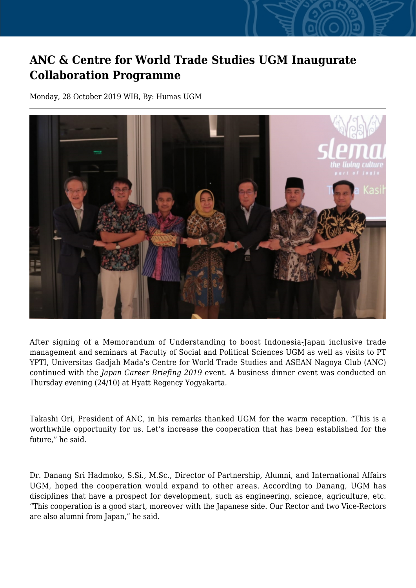## **ANC & Centre for World Trade Studies UGM Inaugurate Collaboration Programme**

Monday, 28 October 2019 WIB, By: Humas UGM



After signing of a Memorandum of Understanding to boost Indonesia-Japan inclusive trade management and seminars at Faculty of Social and Political Sciences UGM as well as visits to PT YPTI, Universitas Gadjah Mada's Centre for World Trade Studies and ASEAN Nagoya Club (ANC) continued with the *Japan Career Briefing 2019* event. A business dinner event was conducted on Thursday evening (24/10) at Hyatt Regency Yogyakarta.

Takashi Ori, President of ANC, in his remarks thanked UGM for the warm reception. "This is a worthwhile opportunity for us. Let's increase the cooperation that has been established for the future," he said.

Dr. Danang Sri Hadmoko, S.Si., M.Sc., Director of Partnership, Alumni, and International Affairs UGM, hoped the cooperation would expand to other areas. According to Danang, UGM has disciplines that have a prospect for development, such as engineering, science, agriculture, etc. "This cooperation is a good start, moreover with the Japanese side. Our Rector and two Vice-Rectors are also alumni from Japan," he said.